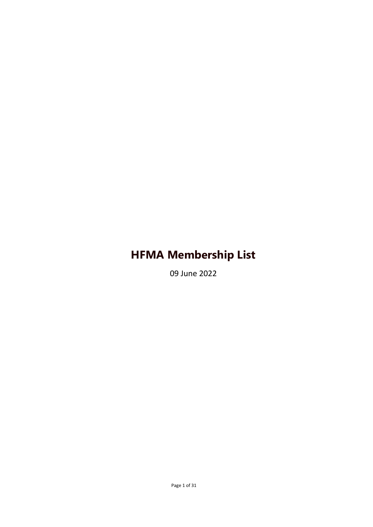09 June 2022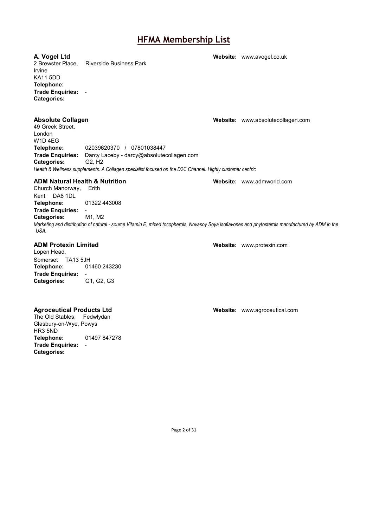**A. Vogel Ltd Website:** [www.avogel.co.uk](http://www.avogel.co.uk/) Riverside Business Park Irvine KA11 5DD **Telephone: Trade Enquiries:** - **Categories: Absolute Collagen Website:** [www.absolutecollagen.com](http://www.absolutecollagen.com/) 49 Greek Street, London W1D 4EG<br>Telephone: **Telephone:** 02039620370 / 07801038447 **Trade Enquiries:** Darcy Laceby - darcy@absolutecollagen.com Categories: *Health & Wellness supplements. A Collagen specialist focused on the D2C Channel. Highly customer centric* **ADM Natural Health & Nutrition Website:** [www.admworld.com](http://www.admworld.com/) Church Manorway, Erith Kent DA8 1DL **Telephone:** 01322 443008 **Trade Enquiries:** -<br>**Categories:** M1, M2 **Categories:** *Marketing and distribution of natural - source Vitamin E, mixed tocopherols, Novasoy Soya isoflavones and phytosterols manufactured by ADM in the USA.* **ADM Protexin Limited Website:** [www.protexin.com](http://www.protexin.com/)

Lopen Head, Somerset TA13 5JH **Telephone:** 01460 243230 **Trade Enquiries:** -

**Categories:** G1, G2, G3

### **Agroceutical Products Ltd Website:** [www.agroceutical.com](http://www.agroceutical.com/)

The Old Stables, Fedwlydan Glasbury-on-Wye, Powys HR3 5ND **Telephone:** 01497 847278 **Trade Enquiries:** - **Categories:**

Page 2 of 31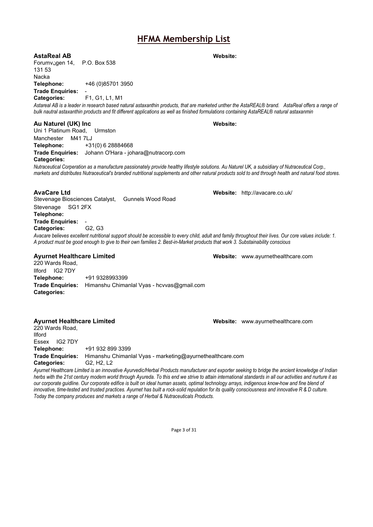**AstaReal AB Website:**

Forumvنgen 14, P.O. Box 538 131 53 Nacka **Telephone:** +46 (0)85701 3950 **Trade Enquiries:** 

**Categories:** F1, G1, L1, M1

Astareal AB is a leader in research based natural astaxanthin products, that are marketed unther the AstaREAL® brand. AstaReal offers a range of *bulk nautral astaxanthin products and fit different applications as well as finished formulations containing AstaREAL® natural astaxanmin*

### **Au Naturel (UK) Inc Website:**

Uni 1 Platinum Road, Urmston Manchester M41 7LJ **Telephone:** +31(0) 6 28884668 **Trade Enquiries:** Johann O'Hara - johara@nutracorp.com **Categories:**

*Nutraceutical Corperation as a manufacture passionately provide healthy lifestyle solutions. Au Naturel UK, a subsidiary of Nutraceutical Corp., markets and distributes Nutraceutical's branded nutritional supplements and other natural products sold to and through health and natural food stores.*

Stevenage Biosciences Catalyst, Gunnels Wood Road Stevenage SG1 2FX **Telephone: Trade Enquiries: Categories:** G2, G3 *Avacare believes excellent nutritional support should be accessible to every child, adult and family throughout their lives. Our core values include: 1. A product must be good enough to give to their own families 2. Best-in-Market products that work 3. Substainability conscious*

220 Wards Road, Ilford IG2 7DY<br>Telephone: **Telephone:** +91 9328993399 **Trade Enquiries:** Himanshu Chimanlal Vyas - hcvvas@gmail.com **Categories:**

### **Ayurnet Healthcare Limited Website:** [www.ayurnethealthcare.com](http://www.ayurnethealthcare.com/)

220 Wards Road, Ilford Essex IG2 7DY **Telephone:** +91 932 899 3399 **Trade Enquiries:** Himanshu Chimanlal Vyas - marketing@ayurnethealthcare.com **Categories:** G2, H2, L2

*Ayurnet Healthcare Limited is an innovative Ayurvedic/Herbal Products manufacturer and exporter seeking to bridge the ancient knowledge of Indian herbs with the 21st century modern world through Ayureda. To this end we strive to attain international standards in all our activities and nurture it as our corporate guidline. Our corporate edifice is built on ideal human assets, optimal technology arrays, indigenous know-how and fine blend of innovative, time-tested and trusted practices. Ayurnet has built a rock-solid repulation for its quality consciousness and innovative R & D culture. Today the company produces and markets a range of Herbal & Nutraceuticals Products.*

Page 3 of 31

**AvaCare Ltd Website:** <http://avacare.co.uk/>

**Ayurnet Healthcare Limited Website:** [www.ayurnethealthcare.com](http://www.ayurnethealthcare.com/)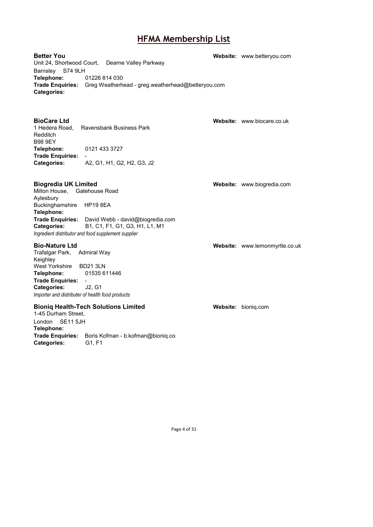**Better You Website:** [www.betteryou.com](http://www.betteryou.com/) Unit 24, Shortwood Court, Dearne Valley Parkway Barnsley S74 9LH **Telephone:** 01226 814 030 **Trade Enquiries:** Greg Weatherhead - greg.weatherhead@betteryou.com **Categories:**

**BioCare Ltd Website:** [www.biocare.co.uk](http://www.biocare.co.uk/) 1 Hedera Road, Ravensbank Business Park Redditch B98 9EY<br>Telephone: **Telephone:** 0121 433 3727 **Trade Enquiries:** - **Categories:** A2, G1, H1, G2, H2, G3, J2

Milton House, Gatehouse Road Aylesbury Buckinghamshire HP19 8EA **Telephone: Trade Enquiries:** David Webb - david@biogredia.com **Categories:** B1, C1, F1, G1, G3, H1, L1, M1 *Ingredient distributor and food supplement supplier*

### **Bio-Nature Ltd Website:** [www.lemonmyrtle.co.uk](http://www.lemonmyrtle.co.uk/)

Trafalgar Park, Admiral Way Keighley West Yorkshire BD21 3LN **Telephone:** 01535 611446 **Trade Enquiries:** - **Categories:** J2, G1 *Importer and distributer of health food products*

### **Bioniq Health-Tech Solutions Limited <b>Website:** [bioniq.com](http://bioniq.com/)

1-45 Durham Street, London SE11 5JH **Telephone: Trade Enquiries:** Boris Kofman - b.kofman@bioniq.co **Categories:** 

**Biogredia UK Limited Website:** Website: [www.biogredia.com](http://www.biogredia.com/)

Page 4 of 31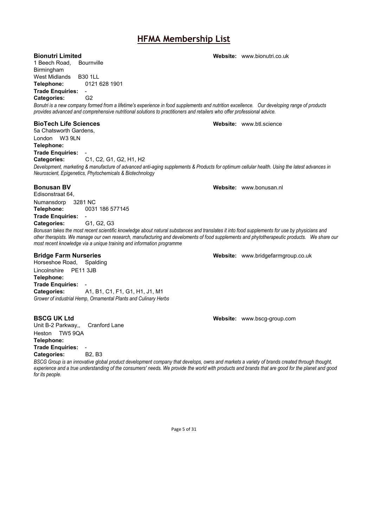1 Beech Road, Bournville Birmingham West Midlands B30 1LL **Telephone:** 0121 628 1901

**Trade Enquiries: Categories:** G2

*Bonutri is a new company formed from a lifetime's experience in food supplements and nutrition excellence. Our developing range of products provides advanced and comprehensive nutritional solutions to practitioners and retailers who offer professional advice.*

5a Chatsworth Gardens, London W3 9LN **Telephone: Trade Enquiries: Categories:** C1, C2, G1, G2, H1, H2 *Development, marketing & manufacture of advanced anti-aging supplements & Products for optimum cellular health. Using the latest advances in* 

**Bonusan BV Bonusan BV Website:** [www.bonusan.nl](http://www.bonusan.nl/)

**Categories:** G1, G2, G3 *Bonusan takes the most recent scientific knowledge about natural substances and translates it into food supplements for use by physicians and other therapists. We manage our own research, manufacturing and develoments of food supplements and phytotherapeutic products. We share our most recent knowledge via a unique training and information programme*

### **Bridge Farm Nurseries Website:** [www.bridgefarmgroup.co.uk](http://www.bridgefarmgroup.co.uk/)

Horseshoe Road, Spalding

Lincolnshire PE11 3JB **Telephone: Trade Enquiries:**<br>Categories: **Categories:** A1, B1, C1, F1, G1, H1, J1, M1 *Grower of industrial Hemp, Ornamental Plants and Culinary Herbs*

Edisonstraat 64,

Numansdorp 3281 NC

**Trade Enquiries:** -

**Telephone:** 0031 186 577145

Unit B-2 Parkway,, Heston TW5 9QA **Telephone: Trade Enquiries:** - **Categories:** 

*BSCG Group is an innovative global product development company that develops, owns and markets a variety of brands created through thought, experience and a true understanding of the consumers' needs. We provide the world with products and brands that are good for the planet and good for its people.*

**BSCG UK Ltd Website:** [www.bscg-group.com](http://www.bscg-group.com/)

Page 5 of 31

**BioTech Life Sciences Website:** [www.btl.science](http://www.btl.science/)

**Bionutri Limited Website:** [www.bionutri.co.uk](http://www.bionutri.co.uk/)

*Neuroscient, Epigenetics, Phytochemicals & Biotechnology*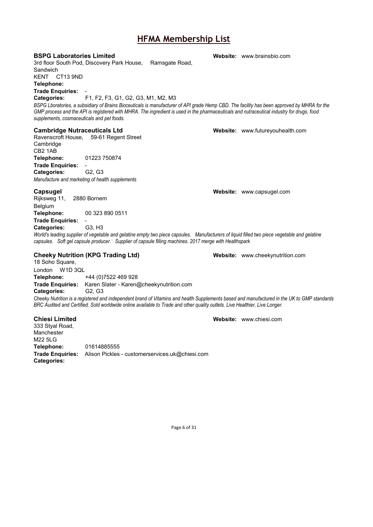### **BSPG Laboratories Limited <b>Website:** Website: [www.brainsbio.com](http://www.brainsbio.com/)

3rd floor South Pod, Discovery Park House, Ramsgate Road, Sandwich KENT CT13 9ND

**Telephone:**

**Trade Enquiries:** 

**Categories:** F1, F2, F3, G1, G2, G3, M1, M2, M3 BSPG Lboratories, a subsidiary of Brains Bioceuticals is manufacturer of API grade Hemp CBD. The facility has been approved by MHRA for the *GMP process and the API is registered with MHRA. The ingredient is used in the pharmaceuticals and nutraceutical industry for drugs, food supplements, cosmaceuticals and pet foods.*

### **Cambridge Nutraceuticals Ltd Website:** [www.futureyouhealth.com](http://www.futureyouhealth.com/)

Ravenscroft House, 59-61 Regent Street **Cambridge** CB2 1AB **Telephone:** 01223 750874 **Trade Enquiries:** - **Categories:** 

*Manufacture and marketing of health supplements*

### **Capsugel Website:** [www.capsugel.com](http://www.capsugel.com/)

Rijksweg 11, 2880 Bornem Belgium **Telephone:** 00 323 890 0511 **Trade Enquiries:** - **Categories:** G3, H3

World's leading supplier of vegetable and gelatine empty two piece capsules. Manufacturers of liquid filled two piece vegetable and gelatine *capsules. Soft gel capsule producer. Supplier of capsule filling machines. 2017 merge with Healthspark*

### **Cheeky Nutrition (KPG Trading Ltd) Website:** [www.cheekynutrition.com](http://www.cheekynutrition.com/) 18 Soho Square,

London W1D 3QL **Telephone:** +44 (0)7522 469 928 **Trade Enquiries:** Karen Slater - Karen@cheekynutrition.com **Categories:** G2, G3

*Cheeky Nutrition is a registered and independent brand of Vitamins and health Supplements based and manufactured in the UK to GMP standards BRC Audited and Certified. Sold worldwide online avaiIable to Trade and other quality outlets. Live Healthier, Live Longer.*

### **Chiesi Limited Website:** [www.chiesi.com](http://www.chiesi.com/)

333 Styal Road, Manchester M22 5LG<br>Telephone: **Telephone:** 01614885555 **Trade Enquiries:** Alison Pickles - customerservices.uk@chiesi.com **Categories:**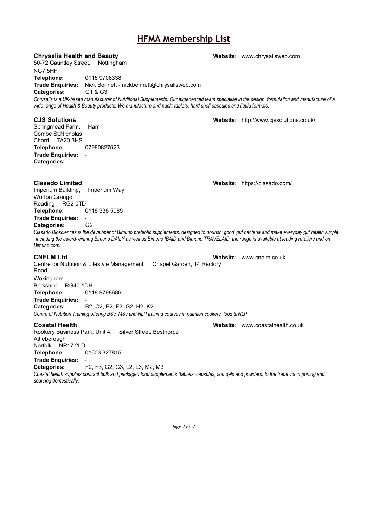### **Chrysalis Health and Beauty Website:** [www.chrysalisweb.com](http://www.chrysalisweb.com/)

50-72 Gauntley Street, Nottingham

NG7 5HF

Springmead Farm, Combe St.Nicholas Chard TA20 3HS<br>Telephone:

**Trade Enquiries:** -

**Categories:**

**Telephone:** 0115 9708338

**Trade Enquiries:** Nick Bennett - nickbennett@chrysalisweb.com<br>**Categories:** G1 & G3 **Categories:** 

**Telephone:** 07980827623

*Chrysalis is a UK-based manufacturer of Nutritional Supplements. Our experienced team specialise in the design, formulation and manufacture of a wide range of Health & Beauty products, We manufacture and pack: tablets, hard shell capsules and liquid formats.*

# **CJS Solutions Website:** <http://www.cjssolutions.co.uk/>

**Clasado Limited Website:** <https://clasado.com/> Imperium Building, Worton Grange Reading RG2 0TD **Telephone:** 0118 338 5085 **Trade Enquiries:** - **Categories:** G2

*Clasado Biosciences is the developer of Bimuno prebiotic supplements, designed to nourish 'good' gut bacteria and make everyday gut health simple. Including the award-winning Bimuno DAILY as well as Bimuno IBAID and Bimuno TRAVELAID, the range is available at leading retailers and on Bimuno.com.*

Centre for Nutrition & Lifestyle Management, Chapel Garden, 14 Rectory Road Wokingham Berkshire RG40 1DH **Telephone:** 0118 9798686 **Trade Enquiries:** - **Categories:** B2, C2, E2, F2, G2, H2, K2

*Centre of Nutrition Training offering BSc, MSc and NLP training courses in nutrition cookery, food & NLP*

### **Coastal Health Website:** [www.coastalhealth.co.uk](http://www.coastalhealth.co.uk/)

Rookery Business Park, Unit 4, Silver Street, Besthorpe Attleborough Norfolk NR17 2LD **Telephone:** 01603 327815 **Trade Enquiries:** 

**Categories:** F2, F3, G2, G3, L2, L3, M2, M3

Coastal health supplies contract bulk and packaged food supplements (tablets, capsules, soft gels and powders) to the trade via importing and *sourcing domestically.*

Page 7 of 31

**CNELM Ltd Website:** [www.cnelm.co.uk](http://www.cnelm.co.uk/)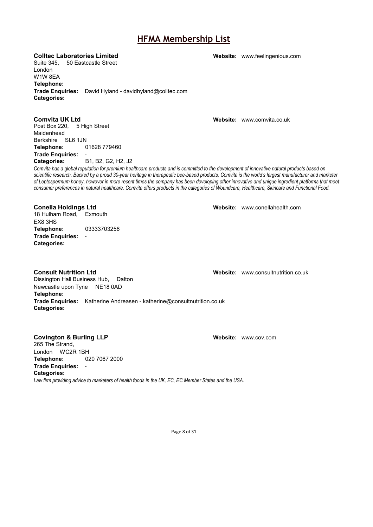**Colltec Laboratories Limited Website:** [www.feelingenious.com](http://www.feelingenious.com/)

Suite 345, 50 Eastcastle Street London W1W 8EA **Telephone: Trade Enquiries:** David Hyland - davidhyland@colltec.com **Categories:**

**Comvita UK Ltd Website:** [www.comvita.co.uk](http://www.comvita.co.uk/) Post Box 220, 5 High Street Maidenhead Berkshire SL6 1JN **Telephone:** 01628 779460 **Trade Enquiries:** -

**Categories:** B1, B2, G2, H2, J2

*Comvita has a global reputation for premium healthcare products and is committed to the development of innovative natural products based on scientific research. Backed by a proud 30-year heritage in therapeutic bee-based products, Comvita is the world's largest manufacturer and marketer of Leptospermum honey, however in more recent times the company has been developing other innovative and unique ingredient platforms that meet consumer preferences in natural healthcare. Comvita offers products in the categories of Woundcare, Healthcare, Skincare and Functional Food.*

**Conella Holdings Ltd Website:** [www.conellahealth.com](http://www.conellahealth.com/) 18 Hulham Road, Exmouth EX8 3HS **Telephone:** 03333703256 **Trade Enquiries:** - **Categories:**

**Consult Nutrition Ltd Website:** [www.consultnutrition.co.uk](http://www.consultnutrition.co.uk/) Dissington Hall Business Hub, Dalton Newcastle upon Tyne NE18 0AD **Telephone: Trade Enquiries:** Katherine Andreasen - katherine@consultnutrition.co.uk **Categories:**

### **Covington & Burling LLP Website:** Website: [www.cov.com](http://www.cov.com/)

265 The Strand, London WC2R 1BH<br>Telephone: 02 **Telephone:** 020 7067 2000 **Trade Enquiries:** - **Categories:** *Law firm providing advice to marketers of health foods in the UK, EC, EC Member States and the USA.*

Page 8 of 31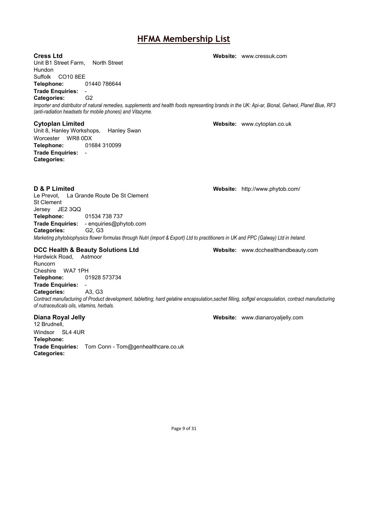**Cress Ltd Website:** [www.cressuk.com](http://www.cressuk.com/) Unit B1 Street Farm, North Street Hundon Suffolk CO10 8EE **Telephone:** 01440 786644 **Trade Enquiries:** - **Categories:** *Importer and distributor of natural remedies, supplements and health foods representing brands in the UK: Api-ar, Bional, Gehwol, Planet Blue, RF3 (anti-radiation headsets for mobile phones) and Vitazyme.* **Cytoplan Limited Website:** [www.cytoplan.co.uk](http://www.cytoplan.co.uk/) Unit 8, Hanley Workshops, Hanley Swan Worcester WR8 0DX **Telephone:** 01684 310099 **Trade Enquiries:** - **Categories: D & P Limited Website:** <http://www.phytob.com/> Le Prevot, La Grande Route De St Clement St Clement Jersey JE2 3QQ **Telephone:** 01534 738 737 **Trade Enquiries:** - enquiries@phytob.com **Categories:** *Marketing phytobiophysics flower formulas through Nutri (import & Export) Ltd to practitioners in UK and PPC (Galway) Ltd in Ireland.* **DCC Health & Beauty Solutions Ltd Website:** [www.dcchealthandbeauty.com](http://www.dcchealthandbeauty.com/) Hardwick Road, Astmoor Runcorn Cheshire WA7 1PH<br>Telephone: 0 **Telephone:** 01928 573734 **Trade Enquiries:** - **Categories:** *Contract manufacturing of Product development, tabletting, hard gelatine encapsulation,sachet filling, softgel encapsulation, contract manufacturing of nutraceuticals oils, vitamins, herbals.* **Diana Royal Jelly Website:** [www.dianaroyaljelly.com](http://www.dianaroyaljelly.com/) 12 Brudnell, Windsor SL4 4UR **Telephone: Trade Enquiries:** Tom Conn - Tom@genhealthcare.co.uk **Categories:**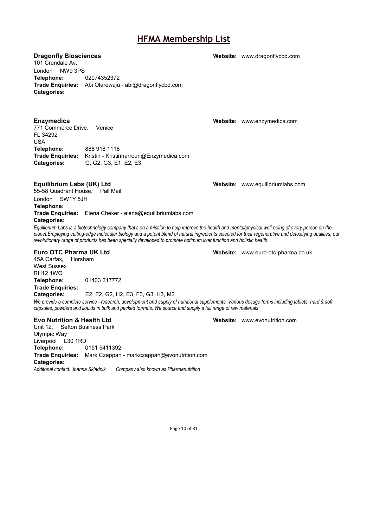101 Crundale Av, London NW9 3PS **Telephone:** 02074352372 **Trade Enquiries:** Abi Olarewaju - abi@dragonflycbd.com **Categories:**

771 Commerce Drive, Venice FL 34292 USA<br>**Telephone: Telephone:** 888 918 1118 **Trade Enquiries:** Kristin - Kristinharroun@Enzymedica.com **Categories:** G, G2, G3, E1, E2, E3

### **Equilibrium Labs (UK) Ltd Website:** [www.equilibriumlabs.com](http://www.equilibriumlabs.com/)

55-58 Quadrant House, Pall Mail London SW1Y 5JH **Telephone: Trade Enquiries:** Elena Cheker - elena@equilibriumlabs.com

### **Categories:**

*Equilibrium Labs is a biotechnology company that's on a mission to help improve the health and mental/physical well-being of every person on the planet.Employing cutting-edge molecular biology and a potent blend of natural ingredients selected for their regenerative and detoxifying qualities, our revolutionary range of products has been specially developed to promote optimum liver function and holistic health.*

45A Carfax, Horsham West Sussex RH12 1WQ **Telephone:** 01403 217772

**Trade Enquiries:** - **Categories:** E2, F2, G2, H2, E3, F3, G3, H3, M2 *We provide a complete service - research, development and supply of nutritional supplements. Various dosage forms including tablets, hard & soft capsules, powders and liquids in bulk and packed formats. We source and supply a full range of raw materials*

### **Evo Nutrition & Health Ltd Website:** [www.evonutrition.com](http://www.evonutrition.com/)

Unit 12, Sefton Business Park Olympic Way Liverpool L30 1RD **Telephone:** 0151 5411392 **Trade Enquiries:** Mark Czappan - markczappan@evonutrition.com **Categories:**<br>Additonal contact: Joanna Skladnik *Additonal contact: Joanna Skladnik Company also known as Pharmanutrition*

**Enzymedica Website:** [www.enzymedica.com](http://www.enzymedica.com/)

**Euro OTC Pharma UK Ltd Website:** [www.euro-otc-pharma.co.uk](http://www.euro-otc-pharma.co.uk/)

Page 10 of 31

**Dragonfly Biosciences Website:** [www.dragonflycbd.com](http://www.dragonflycbd.com/)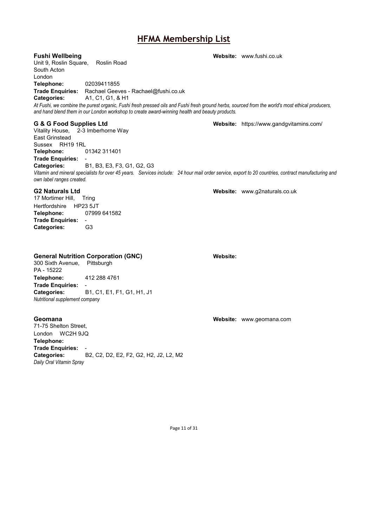**Fushi Wellbeing Website:** [www.fushi.co.uk](http://www.fushi.co.uk/) Unit 9, Roslin Square, Roslin Road South Acton London **Telephone:** 02039411855 **Trade Enquiries:** Rachael Geeves - Rachael@fushi.co.uk **Categories:** A1, C1, G1, & H1 *At Fushi, we combine the purest organic, Fushi fresh pressed oils and Fushi fresh ground herbs, sourced from the world's most ethical producers, and hand blend them in our London workshop to create award-winning health and beauty products.* **G & G Food Supplies Ltd Website:** <https://www.gandgvitamins.com/> Vitality House, 2-3 Imberhorne Way East Grinstead Sussex RH19 1RL **Telephone:** 01342 311401

**Trade Enquiries:** - **Categories:** B1, B3, E3, F3, G1, G2, G3 *Vitamin and mineral specialists for over 45 years. Services include: 24 hour mail order service, export to 20 countries, contract manufacturing and own label ranges created.*

### **G2 Naturals Ltd Website:** [www.g2naturals.co.uk](http://www.g2naturals.co.uk/)

17 Mortimer Hill, Tring Hertfordshire HP23 5JT<br>Telephone: 07999 641582 Telephone: **Trade Enquiries:** - **Categories:** 

### **General Nutrition Corporation (GNC) Website:**

300 Sixth Avenue, Pittsburgh PA - 15222 **Telephone:** 412 288 4761 **Trade Enquiries:** - **Categories:** B1, C1, E1, F1, G1, H1, J1 *Nutritional supplement company*

71-75 Shelton Street, London WC2H 9JQ **Telephone: Trade Enquiries:** - **Categories:** B2, C2, D2, E2, F2, G2, H2, J2, L2, M2 *Daily Oral Vitamin Spray*

**Geomana Website:** [www.geomana.com](http://www.geomana.com/)

Page 11 of 31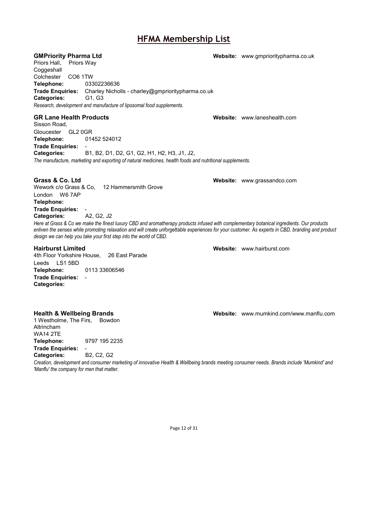Priors Hall, Priors Way Coggeshall Colchester CO6 1TW **Telephone:** 03302236636 **Trade Enquiries:** Charley Nicholls - charley@gmprioritypharma.co.uk **Categories:** G1, G3 *Research, development and manufacture of liposomal food supplements.*

**GR Lane Health Products Website:** [www.laneshealth.com](http://www.laneshealth.com/)

Sisson Road, Gloucester GL2 0GR **Telephone:** 01452 524012 **Trade Enquiries:** - **Categories:** B1, B2, D1, D2, G1, G2, H1, H2, H3, J1, J2, *The manufacture, marketing and exporting of natural medicines, health foods and nutritional supplements.*

Wework c/o Grass & Co, 12 Hammersmith Grove London W6 7AP **Telephone: Trade Enquiries:** - Categories:

*Here at Grass & Co we make the finest luxury CBD and aromatherapy products infused with complementary botanical ingredients. Our products enliven the senses while promoting relaxation and will create unforgettable experiences for your customer. As experts in CBD, branding and product design we can help you take your first step into the world of CBD.*

### **Hairburst Limited Website:** [www.hairburst.com](http://www.hairburst.com/)

4th Floor Yorkshire House, 26 East Parade Leeds LS1 5BD **Telephone:** 0113 33606546 **Trade Enquiries:** - **Categories:**

1 Westholme, The Firs, Bowdon Altrincham WA14 2TE **Telephone:** 9797 195 2235 **Trade Enquiries:** - **Categories:** 

*Creation, development and consumer marketing of innovative Health & Wellbeing brands meeting consumer needs. Brands include 'Mumkind' and 'Manflu' the company for men that matter.*

**GMPriority Pharma Ltd Website:** [www.gmprioritypharma.co.uk](http://www.gmprioritypharma.co.uk/)

**Grass & Co. Ltd Website:** [www.grassandco.com](http://www.grassandco.com/)

**Health & Wellbeing Brands Website:** [www.mumkind.com/www.manflu.com](http://www.mumkind.com/www.manflu.com)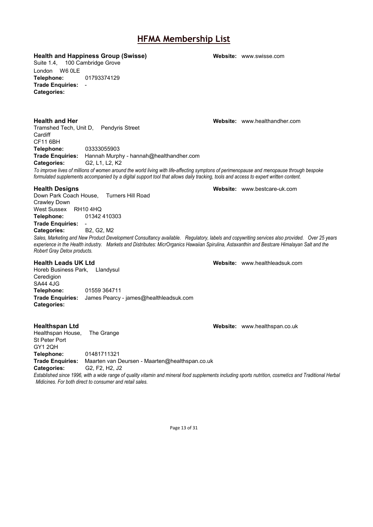**Health and Happiness Group (Swisse) Website:** [www.swisse.com](http://www.swisse.com/)

Suite 1.4, 100 Cambridge Grove London W6 0LE **Telephone:** 01793374129 **Trade Enquiries:** - **Categories:**

**Health and Her Website:** [www.healthandher.com](http://www.healthandher.com/) Tramshed Tech, Unit D, Pendyris Street **Cardiff** CF11 6BH **Telephone:** 03333055903 **Trade Enquiries:** Hannah Murphy - hannah@healthandher.com **Categories:** G2, L1, L2, K2

*To improve lives of millions of women around the world living with life-affecting symptons of perimenopause and menopause through bespoke formulated supplements accompanied by a digital support tool that allows daily tracking, tools and access to expert written content.*

### **Health Designs Website:** [www.bestcare-uk.com](http://www.bestcare-uk.com/)

Down Park Coach House, Turners Hill Road Crawley Down West Sussex RH10 4HQ<br>Telephone: 01342 **Telephone:** 01342 410303 **Trade Enquiries:** -

**Categories:** 

*Sales, Marketing and New Product Development Consultancy available. Regulatory, labels and copywriting services also provided. Over 25 years experience in the Health industry. Markets and Distributes: MicrOrganics Hawaiian Spirulina, Astaxanthin and Bestcare Himalayan Salt and the Robert Gray Detox products.*

**Health Leads UK Ltd Website:** [www.healthleadsuk.com](http://www.healthleadsuk.com/)

Horeb Business Park, Llandysul Ceredigion SA44 4JG **Telephone:** 01559 364711 **Trade Enquiries:** James Pearcy - james@healthleadsuk.com **Categories:**

Healthspan House, The Grange St Peter Port GY1 2QH **Telephone:** 01481711321 **Trade Enquiries:** Maarten van Deursen - Maarten@healthspan.co.uk

**Categories:** G2, F2, H2, J2

*Established since 1996, with a wide range of quality vitamin and mineral food supplements including sports nutrition, cosmetics and Traditional Herbal Midicines. For both direct to consumer and retail sales.*

Page 13 of 31

**Healthspan Ltd Website:** [www.healthspan.co.uk](http://www.healthspan.co.uk/)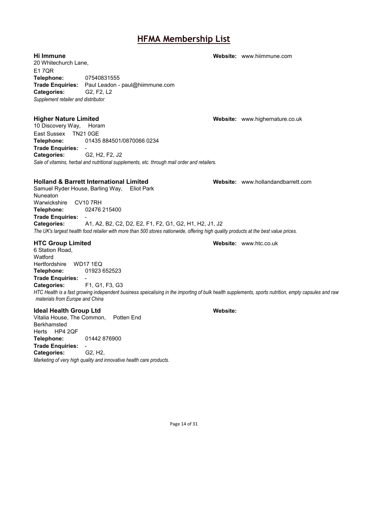**Hi Immune Website:** [www.hiimmune.com](http://www.hiimmune.com/) 20 Whitechurch Lane, E1 7QR **Telephone:** 07540831555 **Trade Enquiries:** Paul Leadon - paul@hiimmune.com Categories: *Supplement retailer and distributor*

10 Discovery Way, Horam East Sussex TN21 0GE<br>Telephone: 01435 **Telephone:** 01435 884501/0870066 0234 **Trade Enquiries:** - **Categories:** G2, H2, F2, J2 *Sale of vitamins, herbal and nutritional supplements, etc. through mail order and retailers.*

### **Holland & Barrett International Limited Website:** [www.hollandandbarrett.com](http://www.hollandandbarrett.com/)

Samuel Ryder House, Barling Way, Eliot Park Nuneaton Warwickshire CV10 7RH<br>Telephone: 02476 **Telephone:** 02476 215400 **Trade Enquiries:** - **Categories:** A1, A2, B2, C2, D2, E2, F1, F2, G1, G2, H1, H2, J1, J2 *The UK's largest health food retailer with more than 500 stores nationwide, offering high quality products at the best value prices.*

6 Station Road, **Watford** Hertfordshire WD17 1EQ **Telephone:** 01923 652523 **Trade Enquiries:** - **Categories:** F1, G1, F3, G3 *HTC Health is a fast growing independent business speicalising in the importing of bulk health supplements, sports nutrition, empty capsules and raw materials from Europe and China*

### **Ideal Health Group Ltd Website:**

Vitalia House, The Common, Potten End Berkhamsted Herts HP4 2QF **Telephone:** 01442 876900 **Trade Enquiries: Categories:** G2, H2, *Marketing of very high quality and innovative health care products.*

**HTC Group Limited Website:** [www.htc.co.uk](http://www.htc.co.uk/)

Page 14 of 31

**Higher Nature Limited Website:** [www.highernature.co.uk](http://www.highernature.co.uk/)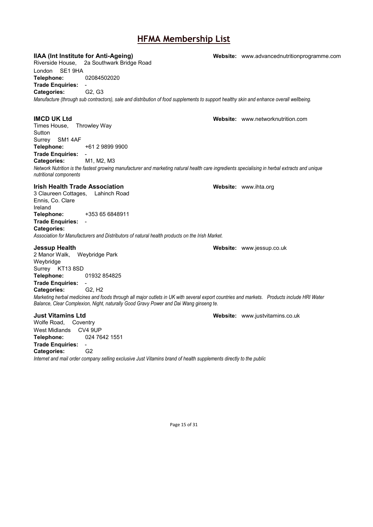**IIAA (Int Institute for Anti-Ageing) Website:** [www.advancednutritionprogramme.com](http://www.advancednutritionprogramme.com/) Riverside House, 2a Southwark Bridge Road London SE1 9HA **Telephone:** 02084502020 **Trade Enquiries:** - **Categories:** *Manufacture (through sub contractors), sale and distribution of food supplements to support healthy skin and enhance overall wellbeing.* **IMCD UK Ltd Website:** [www.networknutrition.com](http://www.networknutrition.com/) Times House, Throwley Way **Sutton** Surrey SM1 4AF **Telephone:** +61 2 9899 9900 **Trade Enquiries: Categories:** M1, M2, M3 *Network Nutrition is the fastest growing manufacturer and marketing natural health care ingredients specialising in herbal extracts and unique nutritional components* **Irish Health Trade Association Website:** [www.ihta.org](http://www.ihta.org/) 3 Claureen Cottages, Lahinch Road Ennis, Co. Clare Ireland **Telephone:** +353 65 6848911 **Trade Enquiries:** - **Categories:** *Association for Manufacturers and Distributors of natural health products on the Irish Market.* **Jessup Health Website:** [www.jessup.co.uk](http://www.jessup.co.uk/) 2 Manor Walk, Weybridge Park Weybridge Surrey KT13 8SD **Telephone:** 01932 854825 **Trade Enquiries:** - **Categories:** G2, H2 *Marketing herbal medicines and foods through all major outlets in UK with several export countries and markets. Products include HRI Water Balance, Clear Complexion, Night, naturally Good Gravy Power and Dai Wang ginseng te.* **Just Vitamins Ltd Website:** [www.justvitamins.co.uk](http://www.justvitamins.co.uk/) Wolfe Road, Coventry West Midlands CV4 9UP **Telephone:** 024 7642 1551 **Trade Enquiries:** - **Categories:** G2

*Internet and mail order company selling exclusive Just Vitamins brand of health supplements directly to the public*

Page 15 of 31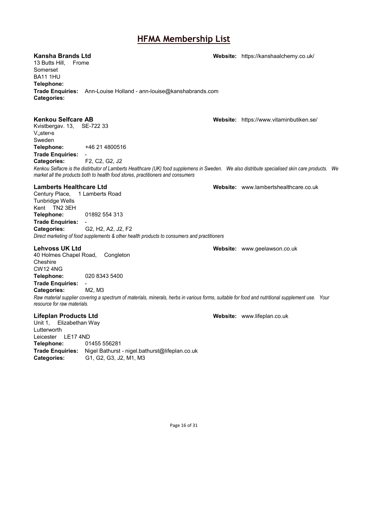13 Butts Hill, Frome Somerset BA11 1HU **Telephone: Trade Enquiries:** Ann-Louise Holland - ann-louise@kanshabrands.com **Categories:**

### **Kenkou Selfcare AB Website:** <https://www.vitaminbutiken.se/>

Kvistbergav. 13, SE-722 33 Vنsterهs Sweden **Telephone:** +46 21 4800516 **Trade Enquiries:** -

**Categories:** F2, C2, G2, J2

*Kenkou Selfacre is the distirbutor of Lamberts Healthcare (UK) food supplemens in Sweden. We also distribute specialised skin care products. We market all the products both to health food stores, practitioners and consumers*

Century Place, 1 Lamberts Road Tunbridge Wells Kent TN2 3EH **Telephone:** 01892 554 313 **Trade Enquiries:** - **Categories:** G2, H2, A2, J2, F2 *Direct marketing of food supplements & other health products to consumers and practitioners*

40 Holmes Chapel Road, Congleton **Cheshire** CW12 4NG **Telephone:** 020 8343 5400 **Trade Enquiries: -<br>Categories: M2, M3** 

**Categories:** *Raw material supplier covering a spectrum of materials, minerals, herbs in various forms, suitable for food and nutritional supplement use. Your resource for raw materials.*

### **Lifeplan Products Ltd Website:** [www.lifeplan.co.uk](http://www.lifeplan.co.uk/)

Unit 1, Elizabethan Way Lutterworth Leicester LE17 4ND **Telephone:** 01455 556281 **Trade Enquiries:** Nigel Bathurst - nigel.bathurst@lifeplan.co.uk **Categories:** G1, G2, G3, J2, M1, M3

**Lamberts Healthcare Ltd Website:** [www.lambertshealthcare.co.uk](http://www.lambertshealthcare.co.uk/)

**Lehvoss UK Ltd Website:** [www.geelawson.co.uk](http://www.geelawson.co.uk/)

Page 16 of 31

**Kansha Brands Ltd Website:** <https://kanshaalchemy.co.uk/>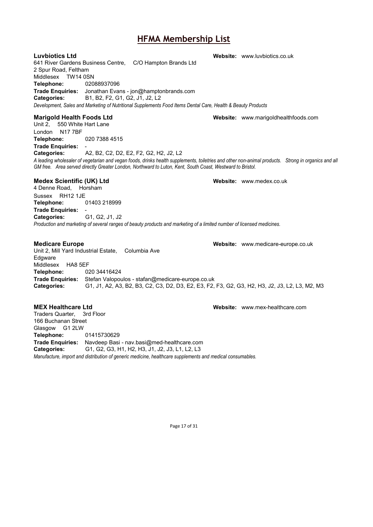641 River Gardens Business Centre, C/O Hampton Brands Ltd 2 Spur Road, Feltham Middlesex TW14 0SN **Telephone:** 02088937096 **Trade Enquiries:** Jonathan Evans - jon@hamptonbrands.com **Categories:** B1, B2, F2, G1, G2, J1, J2, L2 *Development, Sales and Marketing of Nutritional Supplements Food Items Dental Care, Health & Beauty Products*

### **Marigold Health Foods Ltd Website:** [www.marigoldhealthfoods.com](http://www.marigoldhealthfoods.com/)

Unit 2, 550 White Hart Lane London N17 7BF **Telephone:** 020 7388 4515 **Trade Enquiries:** -

**Categories:** A2, B2, C2, D2, E2, F2, G2, H2, J2, L2 *A leading wholesaler of vegetarian and vegan foods, drinks health supplements, toiletries and other non-animal products. Strong in organics and all* 

### **Medex Scientific (UK) Ltd Website:** [www.medex.co.uk](http://www.medex.co.uk/)

4 Denne Road, Horsham Sussex RH12 1JE **Telephone:** 01403 218999 **Trade Enquiries:** - **Categories:** G1, G2, J1, J2 *Production and marketing of several ranges of beauty products and marketing of a limited number of licensed medicines.*

Unit 2, Mill Yard Industrial Estate, Columbia Ave Edgware Middlesex HA8 5EF **Telephone:** 020 34416424 **Trade Enquiries:** Stefan Valopoulos - stafan@medicare-europe.co.uk **Categories:** G1, J1, A2, A3, B2, B3, C2, C3, D2, D3, E2, E3, F2, F3, G2, G3, H2, H3, J2, J3, L2, L3, M2, M3

### **MEX Healthcare Ltd Website:** [www.mex-healthcare.com](http://www.mex-healthcare.com/)

Traders Quarter, 3rd Floor 166 Buchanan Street Glasgow G1 2LW **Telephone:** 01415730629 **Trade Enquiries:** Navdeep Basi - nav.basi@med-healthcare.com **Categories:** G1, G2, G3, H1, H2, H3, J1, J2, J3, L1, L2, L3 *Manufacture, import and distribution of generic medicine, healthcare supplements and medical consumables.*

*GM free. Area served directly Greater London, Northward to Luton, Kent, South Coast, Westward to Bristol.*

**Medicare Europe Website:** [www.medicare-europe.co.uk](http://www.medicare-europe.co.uk/)

Page 17 of 31

**Luvbiotics Ltd Website:** [www.luvbiotics.co.uk](http://www.luvbiotics.co.uk/)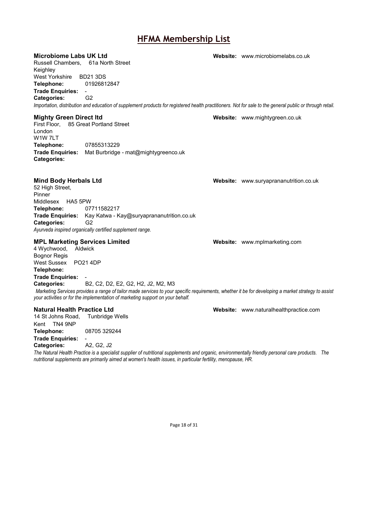### **Microbiome Labs UK Ltd Website:** Website: [www.microbiomelabs.co.uk](http://www.microbiomelabs.co.uk/) Russell Chambers, 61a North Street Keighley West Yorkshire BD21 3DS **Telephone:** 01926812847 **Trade Enquiries:** - **Categories:** *Importation, distribution and education of supplement products for registered health practitioners. Not for sale to the general public or through retail.* **Mighty Green Direct ltd Website:** [www.mightygreen.co.uk](http://www.mightygreen.co.uk/) First Floor, 85 Great Portland Street London W1W 7LT **Telephone:** 07855313229 **Trade Enquiries:** Mat Burbridge - mat@mightygreenco.uk **Categories: Mind Body Herbals Ltd Website:** [www.suryaprananutrition.co.uk](http://www.suryaprananutrition.co.uk/) 52 High Street, Pinner Middlesex HA5 5PW **Telephone:** 07711582217 **Trade Enquiries:** Kay Katwa - Kay@suryaprananutrition.co.uk **Categories:** G2 *Ayurveda inspired organically certified supplement range.* **MPL Marketing Services Limited Website:** [www.mplmarketing.com](http://www.mplmarketing.com/) 4 Wychwood, Aldwick Bognor Regis West Sussex PO21 4DP **Telephone: Trade Enquiries:** - **Categories:** B2, C2, D2, E2, G2, H2, J2, M2, M3

*Marketing Services provides a range of tailor made services to your specific requirements, whether it be for developing a market strategy to assist your activities or for the implementation of marketing support on your behalf.*

### **Natural Health Practice Ltd Website:** [www.naturalhealthpractice.com](http://www.naturalhealthpractice.com/)

14 St Johns Road, Tunbridge Wells Kent TN4 9NP **Telephone:** 08705 329244 **Trade Enquiries:** - **Categories:** 

*The Natural Health Practice is a specialist supplier of nutritional supplements and organic, environmentally friendly personal care products. The nutritional supplements are primarily aimed at women's health issues, in particular fertility, menopause, HR.*

Page 18 of 31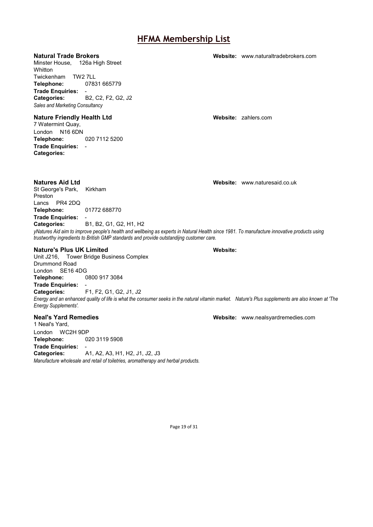Minster House, 126a High Street **Whitton** Twickenham TW2 7LL **Telephone:** 07831 665779 **Trade Enquiries:** - **Categories:** B2, C2, F2, G2, J2 *Sales and Marketing Consultancy*

### **Nature Friendly Health Ltd Website:** [zahlers.com](http://zahlers.com/)

7 Watermint Quay, London N16 6DN **Telephone:** 020 7112 5200 **Trade Enquiries:** - **Categories:**

### **Natural Trade Brokers Website:** [www.naturaltradebrokers.com](http://www.naturaltradebrokers.com/)

**Natures Aid Ltd Website:** [www.naturesaid.co.uk](http://www.naturesaid.co.uk/)

Lancs PR4 2DQ<br>Telephone: 01772 688770 **Telephone: Trade Enquiries:** - **Categories:** B1, B2, G1, G2, H1, H2 *yNatures Aid aim to improve people's health and wellbeing as experts in Natural Health since 1981. To manufacture innovative products using trustworthy ingredients to British GMP standards and provide outstandijng customer care.*

### **Nature's Plus UK Limited Website:**

St George's Park, Kirkham

Preston

Unit J216, Tower Bridge Business Complex Drummond Road London SE16 4DG<br>Telephone: ( **Telephone:** 0800 917 3084 **Trade Enquiries:**<br>Categories: **Categories:** F1, F2, G1, G2, J1, J2 *Energy and an enhanced quality of life is what the consumer seeks in the natural vitamin market. Nature's Plus supplements are also known at 'The Energy Supplements'.*

1 Neal's Yard, London WC2H 9DP<br>Telephone: 02 **Telephone:** 020 3119 5908 **Trade Enquiries:** - **Categories:** A1, A2, A3, H1, H2, J1, J2, J3 *Manufacture wholesale and retail of toiletries, aromatherapy and herbal products.* 

**Neal's Yard Remedies Website:** [www.nealsyardremedies.com](http://www.nealsyardremedies.com/)

Page 19 of 31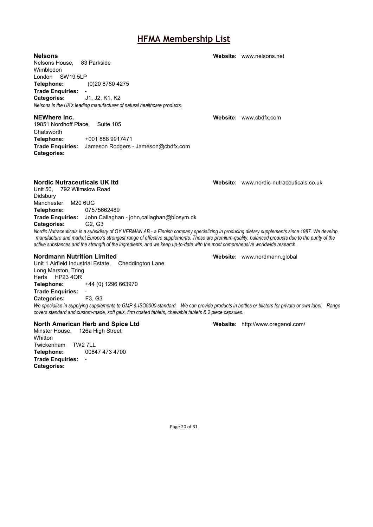Nelsons House, 83 Parkside Wimbledon London SW19 5LP **Telephone:** (0)20 8780 4275 **Trade Enquiries:** - **Categories:** J1, J2, K1, K2 *Nelsons is the UK's leading manufacturer of natural healthcare products.*

**NEWhere Inc. Website:** [www.cbdfx.com](http://www.cbdfx.com/) 19851 Nordhoff Place, Suite 105 **Chatsworth Telephone:** +001 888 9917471 **Trade Enquiries:** Jameson Rodgers - Jameson@cbdfx.com **Categories:**

### **Nordic Nutraceuticals UK ltd Website:** Website: [www.nordic-nutraceuticals.co.uk](http://www.nordic-nutraceuticals.co.uk/)

Unit 50, 792 Wilmslow Road Didsbury Manchester M20 6UG **Telephone:** 07575662489 **Trade Enquiries:** John Callaghan - john,callaghan@biosym.dk **Categories:** G2, G3

*Nordic Nutraceuticals is a subsidiary of OY VERMAN AB - a Finnish company specializing in producing dietary supplements since 1987. We develop, manufacture and market Europe's strongest range of effective supplements. These are premium-quality, balanced products due to the purity of the active substances and the strength of the ingredients, and we keep up-to-date with the most comprehensive worldwide research.*

### **Nordmann Nutrition Limited <b>Website:** Website: [www.nordmann.global](http://www.nordmann.global/)

Unit 1 Airfield Industrial Estate, Cheddington Lane Long Marston, Tring Herts HP23 4QR **Telephone:** +44 (0) 1296 663970 **Trade Enquiries: Categories:** F3, G3

*We specialise in supplying supplements to GMP & ISO9000 standard. We can provide products in bottles or blisters for private or own label. Range covers standard and custom-made, soft gels, firm coated tablets, chewable tablets & 2 piece capsules.*

### **North American Herb and Spice Ltd Website:** <http://www.oreganol.com/>

Minster House, 126a High Street **Whitton** Twickenham TW2 7LL<br>Telephone: 0084 **Telephone:** 00847 473 4700 **Trade Enquiries:** - **Categories:**

**Nelsons Website:** [www.nelsons.net](http://www.nelsons.net/)

Page 20 of 31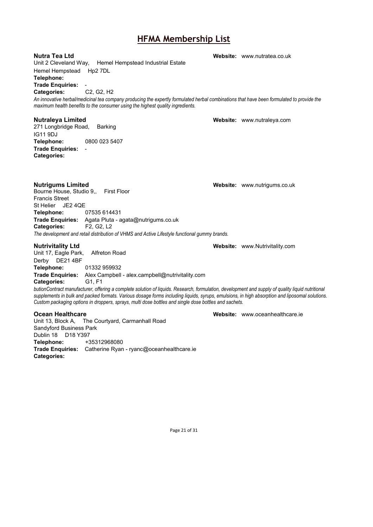Unit 2 Cleveland Way, Hemel Hempstead Industrial Estate Hemel Hempstead Hp2 7DL **Telephone: Trade Enquiries:** - Categories: *An innovative herbal/medicinal tea company producing the expertly formulated herbal combinations that have been formulated to provide the maximum health benefits to the consumer using the highest quality ingredients.* **Nutraleya Limited Website:** [www.nutraleya.com](http://www.nutraleya.com/) 271 Longbridge Road,

IG11 9DJ<br>Telephone: **Telephone:** 0800 023 5407 **Trade Enquiries:** - **Categories:**

**Nutrigums Limited Website:** [www.nutrigums.co.uk](http://www.nutrigums.co.uk/) Bourne House, Studio 9., Francis Street St Helier JE2 4QE **Telephone:** 07535 614431 **Trade Enquiries:** Agata Pluta - agata@nutrigums.co.uk **Categories:** *The development and retail distribution of VHMS and Active Lifestyle functional gummy brands.*

**Nutrivitality Ltd Website:** [www.Nutrivitality.com](http://www.nutrivitality.com/) Unit 17, Eagle Park, Derby DE21 4BF **Telephone:** 01332 959932 **Trade Enquiries:** Alex Campbell - alex.campbell@nutrivitality.com **Categories:** G1, F1

*butionContract manufacturer, offering a complete solution of liquids. Research, formulation, development and supply of quality liquid nutritional supplements in bulk and packed formats. Various dosage forms including liquids, syrups, emulsions, in high absorption and liposomal solutions. Custom packaging options in droppers, sprays, multi dose bottles and single dose bottles and sachets.*

Unit 13, Block A, The Courtyard, Carmanhall Road Sandyford Business Park Dublin 18 D18 Y397 **Telephone:** +35312968080 **Trade Enquiries:** Catherine Ryan - ryanc@oceanhealthcare.ie **Categories:**

**Ocean Healthcare Medicare Website:** [www.oceanhealthcare.ie](http://www.oceanhealthcare.ie/)

Page 21 of 31

**Nutra Tea Ltd Website:** [www.nutratea.co.uk](http://www.nutratea.co.uk/)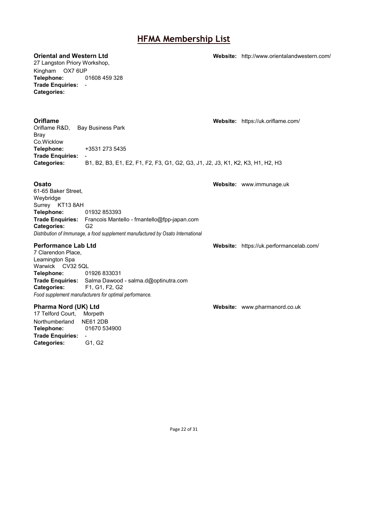27 Langston Priory Workshop, Kingham OX7 6UP **Telephone:** 01608 459 328 **Trade Enquiries:** - **Categories:**

**Oriental and Western Ltd Website:** <http://www.orientalandwestern.com/>

**Oriflame Website:** <https://uk.oriflame.com/> Oriflame R&D, Bay Business Park Bray Co.Wicklow<br>Telephone: **Telephone:** +3531 273 5435 **Trade Enquiries:** - **Categories:** B1, B2, B3, E1, E2, F1, F2, F3, G1, G2, G3, J1, J2, J3, K1, K2, K3, H1, H2, H3

**Osato Website:** [www.immunage.uk](http://www.immunage.uk/)

61-65 Baker Street, Weybridge Surrey KT13 8AH<br> **Telephone:** 01932 853393 **Telephone: Trade Enquiries:** Francois Mantello - fmantello@fpp-japan.com **Categories:** G2 *Distribution of Immunage, a food supplement manufactured by Osato International*

7 Clarendon Place, Leamington Spa Warwick CV32 5QL **Telephone:** 01926 833031 **Trade Enquiries:** Salma Dawood - salma.d@optinutra.com **Categories:** F1, G1, F2, G2 *Food supplement manufacturers for optimal performance.*

17 Telford Court, Morpeth Northumberland NE61 2DB **Telephone:** 01670 534900 **Trade Enquiries:** - **Categories:** 

**Performance Lab Ltd Website:** <https://uk.performancelab.com/>

**Pharma Nord (UK) Ltd Website: Website:** [www.pharmanord.co.uk](http://www.pharmanord.co.uk/)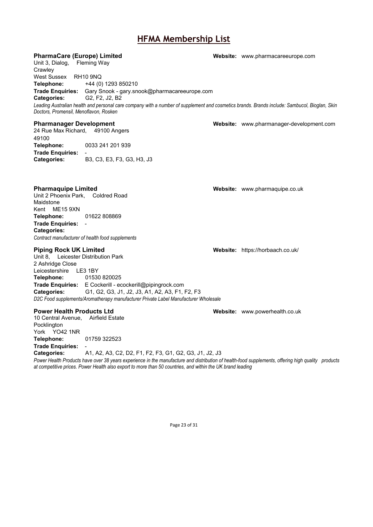## **PharmaCare (Europe) Limited Website:** [www.pharmacareeurope.com](http://www.pharmacareeurope.com/) Unit 3, Dialog, Fleming Way **Crawley** West Sussex RH10 9NQ **Telephone:** +44 (0) 1293 850210 **Trade Enquiries:** Gary Snook - gary.snook@pharmacareeurope.com **Categories:** G2, F2, J2, B2 *Leading Australian health and personal care company with a number of supplement and cosmetics brands. Brands include: Sambucol, Bioglan, Skin Doctors, Promensil, Menoflavon, Rosken* **Pharmanager Development Website:** [www.pharmanager-development.com](http://www.pharmanager-development.com/) 24 Rue Max Richard, 49100 Angers 49100 **Telephone:** 0033 241 201 939 **Trade Enquiries: Categories:** B3, C3, E3, F3, G3, H3, J3

**Pharmaquipe Limited <b>Website:** Website: [www.pharmaquipe.co.uk](http://www.pharmaquipe.co.uk/)

Unit 2 Phoenix Park, Coldred Road Maidstone Kent ME15 9XN **Telephone:** 01622 808869 **Trade Enquiries:** - **Categories:** *Contract manufacturer of health food supplements*

### **Piping Rock UK Limited Website:** <https://horbaach.co.uk/>

Unit 8, Leicester Distribution Park 2 Ashridge Close Leicestershire LE3 1BY<br>Telephone: 01530 **Telephone:** 01530 820025 **Trade Enquiries:** E Cockerill - ecockerill@pipingrock.com **Categories:** G1, G2, G3, J1, J2, J3, A1, A2, A3, F1, F2, F3 *D2C Food supplements/Aromatherapy manufacturer Private Label Manufacturer Wholesale*

### **Power Health Products Ltd Website:** [www.powerhealth.co.uk](http://www.powerhealth.co.uk/)

10 Central Avenue, Airfield Estate Pocklington York YO42 1NR **Telephone:** 01759 322523 **Trade Enquiries:** -

**Categories:** A1, A2, A3, C2, D2, F1, F2, F3, G1, G2, G3, J1, J2, J3

*Power Health Products have over 38 years experience in the manufacture and distribution of health-food supplements, offering high quality products at competitive prices. Power Health also export to more than 50 countries, and within the UK brand leading*

Page 23 of 31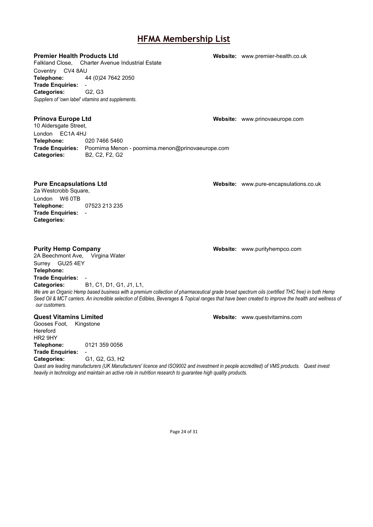**Premier Health Products Ltd Website:** [www.premier-health.co.uk](http://www.premier-health.co.uk/) Falkland Close, Charter Avenue Industrial Estate Coventry CV4 8AU **Telephone:** 44 (0)24 7642 2050 **Trade Enquiries:** - Categories: *Suppliers of 'own label' vitamins and supplements.*

**Prinova Europe Ltd Website:** [www.prinovaeurope.com](http://www.prinovaeurope.com/) 10 Aldersgate Street, London EC1A 4HJ<br>Telephone: ( **Telephone:** 020 7466 5460 **Trade Enquiries:** Poornima Menon - poornima.menon@prinovaeurope.com Categories:

**Pure Encapsulations Ltd Website:** [www.pure-encapsulations.co.uk](http://www.pure-encapsulations.co.uk/) 2a Westcrobb Square, London W6 0TB **Telephone:** 07523 213 235 **Trade Enquiries:** - **Categories:**

2A Beechmont Ave, Virgina Water Surrey GU25 4EY **Telephone: Trade Enquiries:** - **Categories:** B1, C1, D1, G1, J1, L1,

**Purity Hemp Company Website:** [www.purityhempco.com](http://www.purityhempco.com/)

*We are an Organic Hemp based business with a premium collection of pharmaceutical grade broad spectrum oils (certified THC free) in both Hemp Seed Oil & MCT carriers. An incredible selection of Edibles, Beverages & Topical ranges that have been created to improve the health and wellness of our customers.*

### **Quest Vitamins Limited Website:** [www.questvitamins.com](http://www.questvitamins.com/)

Gooses Foot, Kingstone Hereford HR2 9HY **Telephone:** 0121 359 0056 **Trade Enquiries:** -

**Categories:** G1, G2, G3, H2

*Quest are leading manufacturers (UK Manufacturers' licence and ISO9002 and investment in people accredited) of VMS products. Quest invest heavily in technology and maintain an active role in nutrition research to guarantee high quality products.*

Page 24 of 31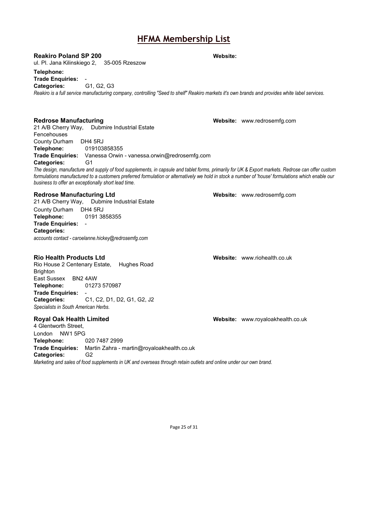### **Reakiro Poland SP 200 Website:**

ul. Pl. Jana Kilinskiego 2, 35-005 Rzeszow

### **Telephone:**

**Trade Enquiries:** -

Categories:

*Reakiro is a full service manufacturing company, controlling "Seed to shelf" Reakiro markets it's own brands and provides white label services.*

21 A/B Cherry Way, Dubmire Industrial Estate Fencehouses County Durham DH4 5RJ **Telephone:** 019103858355 **Trade Enquiries:** Vanessa Orwin - vanessa.orwin@redrosemfg.com **Categories:** G1

*The design, manufacture and supply of food supplements, in capsule and tablet forms, primarily for UK & Export markets. Redrose can offer custom*  formulations manufactured to a customers preferred formulation or alternatively we hold in stock a number of 'house' formulations which enable our *business to offer an exceptionally short lead time.*

### **Redrose Manufacturing Ltd Website: Website:** [www.redrosemfg.com](http://www.redrosemfg.com/)

21 A/B Cherry Way, Dubmire Industrial Estate County Durham DH4 5RJ **Telephone:** 0191 3858355 **Trade Enquiries:** - **Categories:** *accounts contact - caroelanne.hickey@redrosemfg.com*

Rio House 2 Centenary Estate, Hughes Road Brighton East Sussex BN2 4AW **Telephone:** 01273 570987 **Trade Enquiries:** - **Categories:** C1, C2, D1, D2, G1, G2, J2 *Specialists in South American Herbs.*

4 Glentworth Street, London NW1 5PG **Telephone:** 020 7487 2999 **Trade Enquiries:** Martin Zahra - martin@royaloakhealth.co.uk **Categories:** G2 *Marketing and sales of food supplements in UK and overseas through retain outlets and online under our own brand.*

**Redrose Manufacturing The Community Community Community Community Community Community Community Community Community Community Community Community Community Community Community Community Community Community Community Commu** 

**Rio Health Products Ltd Website:** [www.riohealth.co.uk](http://www.riohealth.co.uk/)

**Royal Oak Health Limited Website:** [www.royaloakhealth.co.uk](http://www.royaloakhealth.co.uk/)

Page 25 of 31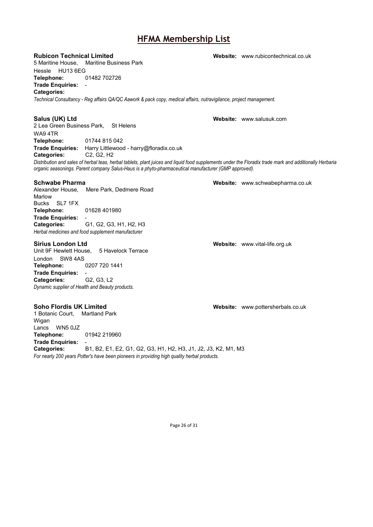5 Maritine House, Maritine Business Park

Hessle HU13 6EG<br>**Telephone:** 01482 702726 Telephone:

**Trade Enquiries:** -

### **Categories:**

*Technical Consultancy - Reg affairs QA/QC Aawork & pack copy, medical affairs, nutravigilance, project management.*

### **Salus (UK) Ltd Website:** [www.salusuk.com](http://www.salusuk.com/)

2 Lea Green Business Park, St Helens WA9 4TR<br>Telephone: **Telephone:** 01744 815 042 **Trade Enquiries:** Harry Littlewood - harry@floradix.co.uk **Categories:** 

*Distribution and sales of herbal teas, herbal tablets, plant juices and liquid food supplements under the Floradix trade mark and additionally Herbaria organic seasonings. Parent company Salus-Haus is a phyto-pharmaceutical manufacturer (GMP approved).*

Alexander House, Mere Park, Dedmere Road Marlow Bucks SL7 1FX **Telephone:** 01628 401980 **Trade Enquiries:** - **Categories:** G1, G2, G3, H1, H2, H3 *Herbal medicines and food supplement manufacturer*

### **Sirius London Ltd Website:** [www.vital-life.org.uk](http://www.vital-life.org.uk/)

Unit 9F Hewlett House, 5 Havelock Terrace London SW8 4AS **Telephone:** 0207 720 1441 **Trade Enquiries:** - **Categories:** G2, G3, L2 *Dynamic supplier of Health and Beauty products.*

1 Botanic Court, Martland Park Wigan Lancs WN5 0JZ **Telephone:** 01942 219960 **Trade Enquiries:** - **Categories:** B1, B2, E1, E2, G1, G2, G3, H1, H2, H3, J1, J2, J3, K2, M1, M3 *For nearly 200 years Potter's have been pioneers in providing high quality herbal products.*

**Schwabe Pharma Website:** [www.schwabepharma.co.uk](http://www.schwabepharma.co.uk/)

**Soho Flordis UK Limited Website:** [www.pottersherbals.co.uk](http://www.pottersherbals.co.uk/)

Page 26 of 31

**Rubicon Technical Limited Website:** [www.rubicontechnical.co.uk](http://www.rubicontechnical.co.uk/)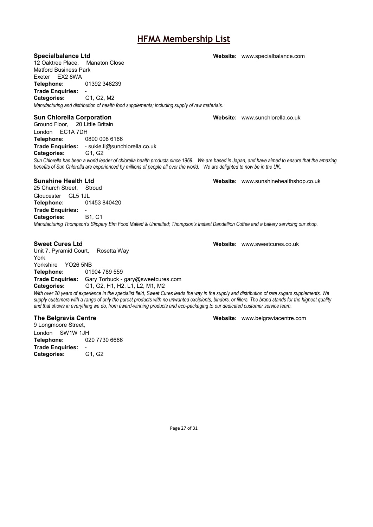12 Oaktree Place, Manaton Close Matford Business Park Exeter EX2 8WA **Telephone:** 01392 346239 **Trade Enquiries:** - **Categories:** G1, G2, M2 *Manufacturing and distribution of health food supplements; including supply of raw materials.*

### **Sun Chlorella Corporation Website:** [www.sunchlorella.co.uk](http://www.sunchlorella.co.uk/)

Ground Floor, 20 Little Britain London EC1A 7DH **Telephone:** 0800 008 6166 **Trade Enquiries:** - sukie.li@sunchlorella.co.uk **Categories:** 

*Sun Chlorella has been a world leader of chlorella health products since 1969. We are based in Japan, and have aimed to ensure that the amazing benefits of Sun Chlorella are experienced by millions of people all over the world. We are delighted to now be in the UK.*

### **Sunshine Health Ltd Website:** [www.sunshinehealthshop.co.uk](http://www.sunshinehealthshop.co.uk/)

25 Church Street, Stroud

Gloucester GL5 1JL<br>Telephone: 01453 840420 Telephone:

**Trade Enquiries:** - **Categories:** *Manufacturing Thompson's Slippery Elm Food Malted & Unmalted; Thompson's Instant Dandellion Coffee and a bakery servicing our shop.*

Unit 7, Pyramid Court, Rosetta Way York Yorkshire YO26 5NB **Telephone:** 01904 789 559 **Trade Enquiries:** Gary Torbuck - gary@sweetcures.com **Categories:** G1, G2, H1, H2, L1, L2, M1, M2

*With over 20 years of experience in the specialist field, Sweet Cures leads the way in the supply and distribution of rare sugars supplements. We supply customers with a range of only the purest products with no unwanted excipients, binders, or fillers. The brand stands for the highest quality and that shows in everything we do, from award-winning products and eco-packaging to our dedicated customer service team.*

9 Longmoore Street, London SW1W 1JH **Telephone:** 020 7730 6666 **Trade Enquiries:** - **Categories:** G1, G2

**The Belgravia Centre Website:** [www.belgraviacentre.com](http://www.belgraviacentre.com/)

**Specialbalance Ltd Website:** [www.specialbalance.com](http://www.specialbalance.com/)

**Sweet Cures Ltd Website:** [www.sweetcures.co.uk](http://www.sweetcures.co.uk/)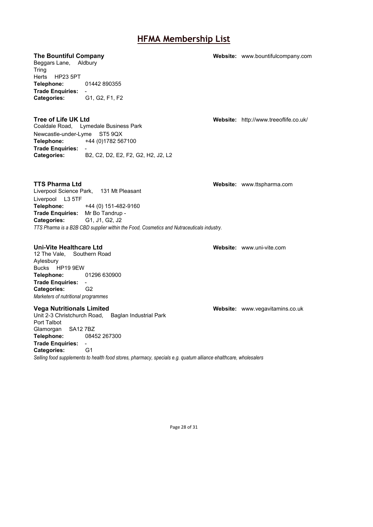**The Bountiful Company Website:** [www.bountifulcompany.com](http://www.bountifulcompany.com/)

Beggars Lane, Aldbury Tring Herts HP23 5PT **Telephone:** 01442 890355 **Trade Enquiries:** - **Categories:** G1, G2, F1, F2

**Tree of Life UK Ltd Website:** <http://www.treeoflife.co.uk/> Coaldale Road, Lymedale Business Park Newcastle-under-Lyme ST5 9QX **Telephone:** +44 (0)1782 567100 **Trade Enquiries:** - **Categories:** B2, C2, D2, E2, F2, G2, H2, J2, L2

**TTS Pharma Ltd Website:** [www.ttspharma.com](http://www.ttspharma.com/) Liverpool Science Park, 131 Mt Pleasant Liverpool L3 5TF **Telephone:** +44 (0) 151-482-9160 **Trade Enquiries:** Mr Bo Tandrup -<br>**Categories:** G1, J1, G2, J2 **Categories:** *TTS Pharma is a B2B CBD supplier within the Food, Cosmetics and Nutraceuticals industry.*

12 The Vale, Southern Road

Aylesbury Bucks HP19 9EW<br>Telephone: **Telephone:** 01296 630900 **Trade Enquiries:** - **Categories:** *Marketers of nutritional programmes*

Unit 2-3 Christchurch Road, Baglan Industrial Park Port Talbot Glamorgan SA12 7BZ **Telephone:** 08452 267300

# **Trade Enquiries:** -

**Categories:** *Selling food supplements to health food stores, pharmacy, specials e.g. quatum alliance ehalthcare, wholesalers*

**Uni-Vite Healthcare Ltd Website:** [www.uni-vite.com](http://www.uni-vite.com/)

**Vega Nutritionals Limited Website:** [www.vegavitamins.co.uk](http://www.vegavitamins.co.uk/)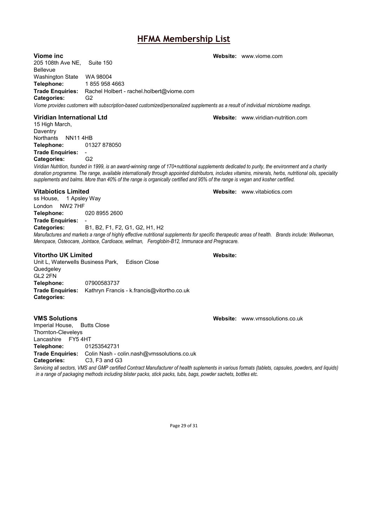Washington State WA 98004 **Telephone:** 1 855 958 4663 **Trade Enquiries:** Rachel Holbert - rachel.holbert@viome.com **Categories:** G2 *Viome provides customers with subscription-based customized/personalized supplements as a result of individual microbiome readings.* **Viridian International Ltd Website:** [www.viridian-nutrition.com](http://www.viridian-nutrition.com/) 15 High March, **Daventry** Northants NN11 4HB **Telephone:** 01327 878050 **Trade Enquiries:** - **Categories:** G2 *Viridian Nutrition, founded in 1999, is an award-winning range of 170+nutritional supplements dedicated to purity, the environment and a charity donation programme. The range, available internationally through appointed distributors, includes vitamins, minerals, herbs, nutritional oils, speciality supplements and balms. More than 40% of the range is organically certified and 95% of the range is vegan and kosher certified.* **Vitabiotics Limited Website:** [www.vitabiotics.com](http://www.vitabiotics.com/) ss House, 1 Apsley Way London NW2 7HF **Telephone:** 020 8955 2600 **Trade Enquiries:** - **Categories:** B1, B2, F1, F2, G1, G2, H1, H2 *Manufactures and markets a range of highly effective nutritional supplements for specific therapeutic areas of health. Brands include: Wellwoman, Menopace, Osteocare, Jointace, Cardioace, wellman, Feroglobin-B12, Immunace and Pregnacare.* **Vitortho UK Limited Website:** Unit L, Waterwells Business Park, Edison Close **Quedgeley** GL2 2FN **Telephone:** 07900583737 **Trade Enquiries:** Kathryn Francis - k.francis@vitortho.co.uk

**VMS Solutions Website:** [www.vmssolutions.co.uk](http://www.vmssolutions.co.uk/)

Imperial House, Butts Close Thornton-Cleveleys Lancashire FY5 4HT<br>Telephone: 01253542731 Telephone: **Trade Enquiries:** Colin Nash - colin.nash@vmssolutions.co.uk **Categories:** C3, F3 and G3

*Servicing all sectors, VMS and GMP certified Contract Manufacturer of health suplements in various formats (tablets, capsules, powders, and liquids) in a range of packaging methods including blister packs, stick packs, tubs, bags, powder sachets, bottles etc.*

**Viome inc Website:** [www.viome.com](http://www.viome.com/)

205 108th Ave NE, Suite 150 Bellevue

**Categories:**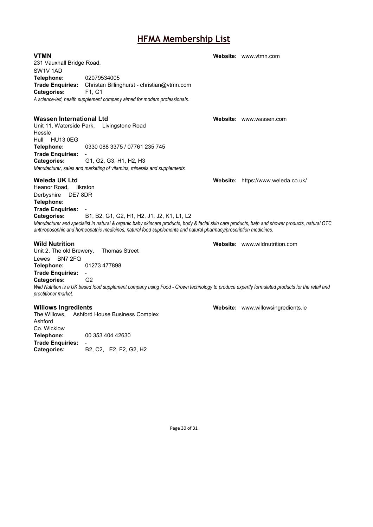**VTMN Website:** [www.vtmn.com](http://www.vtmn.com/) 231 Vauxhall Bridge Road, SW1V 1AD **Telephone:** 02079534005 **Trade Enquiries:** Christan Billinghurst - christian@vtmn.com **Categories:** *A science-led, health supplement company aimed for modern professionals.* **Wassen International Ltd Website:** [www.wassen.com](http://www.wassen.com/) Unit 11, Waterside Park, Livingstone Road Hessle Hull HU13 0EG<br>Telephone: **Telephone:** 0330 088 3375 / 07761 235 745 **Trade Enquiries:** - **Categories:** G1, G2, G3, H1, H2, H3 *Manufacturer, sales and marketing of vitamins, minerals and supplements* **Weleda UK Ltd Website:** <https://www.weleda.co.uk/> Heanor Road, Iikrston Derbyshire DE7 8DR **Telephone: Trade Enquiries:** - **Categories:** B1, B2, G1, G2, H1, H2, J1, J2, K1, L1, L2 *Manufacturer and specialist in natural & organic baby skincare products, body & facial skin care products, bath and shower products, natural OTC anthroposophic and homeopathic medicines, natural food supplements and natural pharmacy/prescription medicines.* **Wild Nutrition Website:** [www.wildnutrition.com](http://www.wildnutrition.com/) Unit 2, The old Brewery, Thomas Street Lewes BN7 2FQ **Telephone:** 01273 477898

**Trade Enquiries:** - **Categories:** *Wild Nutrition is a UK based food supplement company using Food - Grown technology to produce expertly formulated products for the retail and prectitioner market.*

The Willows, Ashford House Business Complex Ashford Co. Wicklow **Telephone:** 00 353 404 42630 **Trade Enquiries:** - **Categories:** B2, C2, E2, F2, G2, H2

**Willows Ingredients Website:** [www.willowsingredients.ie](http://www.willowsingredients.ie/)

Page 30 of 31